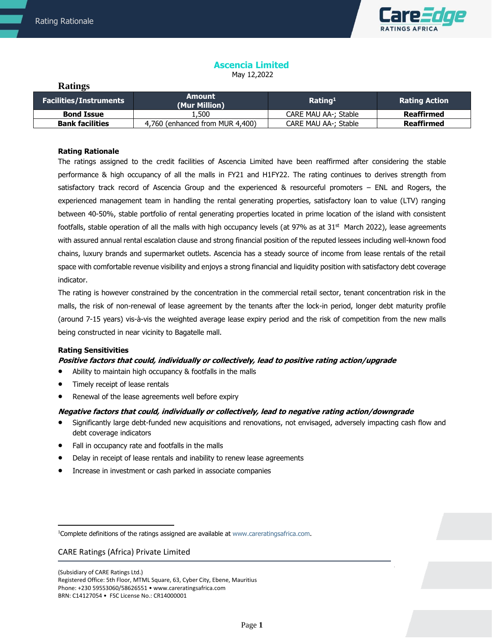**Ratings**



# **Ascencia Limited**

May 12,2022

| <b>Facilities/Instruments</b> | Amount<br>(Mur Million)         | Rating <sup>1</sup>  | <b>Rating Action</b> |
|-------------------------------|---------------------------------|----------------------|----------------------|
| <b>Bond Issue</b>             | 500ء ک                          | CARE MAU AA-: Stable | Reaffirmed           |
| <b>Bank facilities</b>        | 4,760 (enhanced from MUR 4,400) | CARE MAU AA-; Stable | Reaffirmed           |

# **Rating Rationale**

The ratings assigned to the credit facilities of Ascencia Limited have been reaffirmed after considering the stable performance & high occupancy of all the malls in FY21 and H1FY22. The rating continues to derives strength from satisfactory track record of Ascencia Group and the experienced & resourceful promoters – ENL and Rogers, the experienced management team in handling the rental generating properties, satisfactory loan to value (LTV) ranging between 40-50%, stable portfolio of rental generating properties located in prime location of the island with consistent footfalls, stable operation of all the malls with high occupancy levels (at 97% as at 31<sup>st</sup> March 2022), lease agreements with assured annual rental escalation clause and strong financial position of the reputed lessees including well-known food chains, luxury brands and supermarket outlets. Ascencia has a steady source of income from lease rentals of the retail space with comfortable revenue visibility and enjoys a strong financial and liquidity position with satisfactory debt coverage indicator.

The rating is however constrained by the concentration in the commercial retail sector, tenant concentration risk in the malls, the risk of non-renewal of lease agreement by the tenants after the lock-in period, longer debt maturity profile (around 7-15 years) vis-à-vis the weighted average lease expiry period and the risk of competition from the new malls being constructed in near vicinity to Bagatelle mall.

# **Rating Sensitivities**

# **Positive factors that could, individually or collectively, lead to positive rating action/upgrade**

- Ability to maintain high occupancy & footfalls in the malls
- Timely receipt of lease rentals
- Renewal of the lease agreements well before expiry

# **Negative factors that could, individually or collectively, lead to negative rating action/downgrade**

- Significantly large debt-funded new acquisitions and renovations, not envisaged, adversely impacting cash flow and debt coverage indicators
- Fall in occupancy rate and footfalls in the malls
- Delay in receipt of lease rentals and inability to renew lease agreements
- Increase in investment or cash parked in associate companies

# CARE Ratings (Africa) Private Limited

<sup>1</sup>Complete definitions of the ratings assigned are available at www.careratingsafrica.com.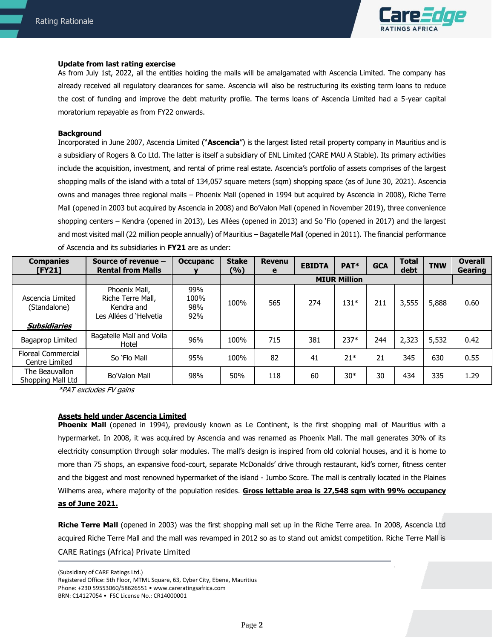

#### **Update from last rating exercise**

As from July 1st, 2022, all the entities holding the malls will be amalgamated with Ascencia Limited. The company has already received all regulatory clearances for same. Ascencia will also be restructuring its existing term loans to reduce the cost of funding and improve the debt maturity profile. The terms loans of Ascencia Limited had a 5-year capital moratorium repayable as from FY22 onwards.

#### **Background**

Incorporated in June 2007, Ascencia Limited ("**Ascencia**") is the largest listed retail property company in Mauritius and is a subsidiary of Rogers & Co Ltd. The latter is itself a subsidiary of ENL Limited (CARE MAU A Stable). Its primary activities include the acquisition, investment, and rental of prime real estate. Ascencia's portfolio of assets comprises of the largest shopping malls of the island with a total of 134,057 square meters (sqm) shopping space (as of June 30, 2021). Ascencia owns and manages three regional malls – Phoenix Mall (opened in 1994 but acquired by Ascencia in 2008), Riche Terre Mall (opened in 2003 but acquired by Ascencia in 2008) and Bo'Valon Mall (opened in November 2019), three convenience shopping centers – Kendra (opened in 2013), Les Allées (opened in 2013) and So 'Flo (opened in 2017) and the largest and most visited mall (22 million people annually) of Mauritius – Bagatelle Mall (opened in 2011). The financial performance of Ascencia and its subsidiaries in **FY21** are as under:

| <b>Companies</b><br>$[$ FY21]               | Source of revenue -<br><b>Rental from Malls</b>                           | <b>Occupanc</b>           | <b>Stake</b><br>(9/6) | <b>Revenu</b><br>е | <b>EBIDTA</b> | PAT*                | <b>GCA</b> | <b>Total</b><br>debt | <b>TNW</b> | <b>Overall</b><br>Gearing |
|---------------------------------------------|---------------------------------------------------------------------------|---------------------------|-----------------------|--------------------|---------------|---------------------|------------|----------------------|------------|---------------------------|
|                                             |                                                                           |                           |                       |                    |               | <b>MIUR Million</b> |            |                      |            |                           |
| Ascencia Limited<br>(Standalone)            | Phoenix Mall,<br>Riche Terre Mall,<br>Kendra and<br>Les Allées d'Helvetia | 99%<br>100%<br>98%<br>92% | 100%                  | 565                | 274           | $131*$              | 211        | 3,555                | 5,888      | 0.60                      |
| <b>Subsidiaries</b>                         |                                                                           |                           |                       |                    |               |                     |            |                      |            |                           |
| Bagaprop Limited                            | Bagatelle Mall and Voila<br>Hotel                                         | 96%                       | 100%                  | 715                | 381           | $237*$              | 244        | 2,323                | 5,532      | 0.42                      |
| <b>Floreal Commercial</b><br>Centre Limited | So 'Flo Mall                                                              | 95%                       | 100%                  | 82                 | 41            | $21*$               | 21         | 345                  | 630        | 0.55                      |
| The Beauvallon<br>Shopping Mall Ltd         | <b>Bo'Valon Mall</b>                                                      | 98%                       | 50%                   | 118                | 60            | $30*$               | 30         | 434                  | 335        | 1.29                      |

\*PAT excludes FV gains

# **Assets held under Ascencia Limited**

**Phoenix Mall** (opened in 1994), previously known as Le Continent, is the first shopping mall of Mauritius with a hypermarket. In 2008, it was acquired by Ascencia and was renamed as Phoenix Mall. The mall generates 30% of its electricity consumption through solar modules. The mall's design is inspired from old colonial houses, and it is home to more than 75 shops, an expansive food-court, separate McDonalds' drive through restaurant, kid's corner, fitness center and the biggest and most renowned hypermarket of the island - Jumbo Score. The mall is centrally located in the Plaines Wilhems area, where majority of the population resides. **Gross lettable area is 27,548 sqm with 99% occupancy as of June 2021.**

CARE Ratings (Africa) Private Limited **Riche Terre Mall** (opened in 2003) was the first shopping mall set up in the Riche Terre area. In 2008, Ascencia Ltd acquired Riche Terre Mall and the mall was revamped in 2012 so as to stand out amidst competition. Riche Terre Mall is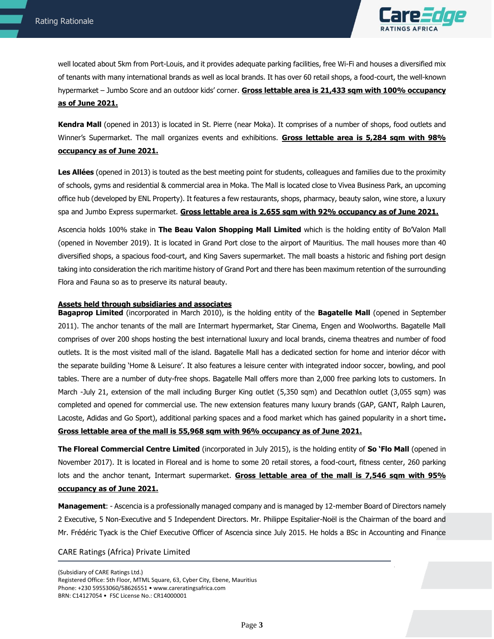

 well located about 5km from Port-Louis, and it provides adequate parking facilities, free Wi-Fi and houses a diversified mix of tenants with many international brands as well as local brands. It has over 60 retail shops, a food-court, the well-known hypermarket – Jumbo Score and an outdoor kids' corner. **Gross lettable area is 21,433 sqm with 100% occupancy as of June 2021.**

**Kendra Mall** (opened in 2013) is located in St. Pierre (near Moka). It comprises of a number of shops, food outlets and Winner's Supermarket. The mall organizes events and exhibitions. **Gross lettable area is 5,284 sqm with 98% occupancy as of June 2021.**

**Les Allées** (opened in 2013) is touted as the best meeting point for students, colleagues and families due to the proximity of schools, gyms and residential & commercial area in Moka. The Mall is located close to Vivea Business Park, an upcoming office hub (developed by ENL Property). It features a few restaurants, shops, pharmacy, beauty salon, wine store, a luxury spa and Jumbo Express supermarket. **Gross lettable area is 2,655 sqm with 92% occupancy as of June 2021.**

Ascencia holds 100% stake in **The Beau Valon Shopping Mall Limited** which is the holding entity of Bo'Valon Mall (opened in November 2019). It is located in Grand Port close to the airport of Mauritius. The mall houses more than 40 diversified shops, a spacious food-court, and King Savers supermarket. The mall boasts a historic and fishing port design taking into consideration the rich maritime history of Grand Port and there has been maximum retention of the surrounding Flora and Fauna so as to preserve its natural beauty.

#### **Assets held through subsidiaries and associates**

**Bagaprop Limited** (incorporated in March 2010), is the holding entity of the **Bagatelle Mall** (opened in September 2011). The anchor tenants of the mall are Intermart hypermarket, Star Cinema, Engen and Woolworths. Bagatelle Mall comprises of over 200 shops hosting the best international luxury and local brands, cinema theatres and number of food outlets. It is the most visited mall of the island. Bagatelle Mall has a dedicated section for home and interior décor with the separate building 'Home & Leisure'. It also features a leisure center with integrated indoor soccer, bowling, and pool tables. There are a number of duty-free shops. Bagatelle Mall offers more than 2,000 free parking lots to customers. In March -July 21, extension of the mall including Burger King outlet (5,350 sqm) and Decathlon outlet (3,055 sqm) was completed and opened for commercial use. The new extension features many luxury brands (GAP, GANT, Ralph Lauren, Lacoste, Adidas and Go Sport), additional parking spaces and a food market which has gained popularity in a short time**. Gross lettable area of the mall is 55,968 sqm with 96% occupancy as of June 2021.**

**The Floreal Commercial Centre Limited** (incorporated in July 2015), is the holding entity of **So 'Flo Mall** (opened in November 2017). It is located in Floreal and is home to some 20 retail stores, a food-court, fitness center, 260 parking lots and the anchor tenant, Intermart supermarket. **Gross lettable area of the mall is 7,546 sqm with 95% occupancy as of June 2021.**

**Management**: - Ascencia is a professionally managed company and is managed by 12-member Board of Directors namely 2 Executive, 5 Non-Executive and 5 Independent Directors. Mr. Philippe Espitalier-Noël is the Chairman of the board and Mr. Frédéric Tyack is the Chief Executive Officer of Ascencia since July 2015. He holds a BSc in Accounting and Finance

# CARE Ratings (Africa) Private Limited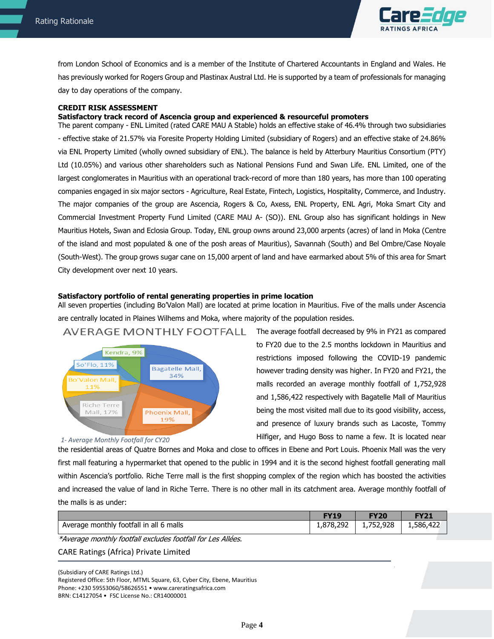

 from London School of Economics and is a member of the Institute of Chartered Accountants in England and Wales. He has previously worked for Rogers Group and Plastinax Austral Ltd. He is supported by a team of professionals for managing day to day operations of the company.

# **CREDIT RISK ASSESSMENT**

#### **Satisfactory track record of Ascencia group and experienced & resourceful promoters**

The parent company - ENL Limited (rated CARE MAU A Stable) holds an effective stake of 46.4% through two subsidiaries - effective stake of 21.57% via Foresite Property Holding Limited (subsidiary of Rogers) and an effective stake of 24.86% via ENL Property Limited (wholly owned subsidiary of ENL). The balance is held by Atterbury Mauritius Consortium (PTY) Ltd (10.05%) and various other shareholders such as National Pensions Fund and Swan Life. ENL Limited, one of the largest conglomerates in Mauritius with an operational track-record of more than 180 years, has more than 100 operating companies engaged in six major sectors - Agriculture, Real Estate, Fintech, Logistics, Hospitality, Commerce, and Industry. The major companies of the group are Ascencia, Rogers & Co, Axess, ENL Property, ENL Agri, Moka Smart City and Commercial Investment Property Fund Limited (CARE MAU A- (SO)). ENL Group also has significant holdings in New Mauritius Hotels, Swan and Eclosia Group. Today, ENL group owns around 23,000 arpents (acres) of land in Moka (Centre of the island and most populated & one of the posh areas of Mauritius), Savannah (South) and Bel Ombre/Case Noyale (South-West). The group grows sugar cane on 15,000 arpent of land and have earmarked about 5% of this area for Smart City development over next 10 years.

#### **Satisfactory portfolio of rental generating properties in prime location**

All seven properties (including Bo'Valon Mall) are located at prime location in Mauritius. Five of the malls under Ascencia are centrally located in Plaines Wilhems and Moka, where majority of the population resides.



AVERAGE MONTHLY FOOTFALL

### *1- Average Monthly Footfall for CY20*

The average footfall decreased by 9% in FY21 as compared to FY20 due to the 2.5 months lockdown in Mauritius and restrictions imposed following the COVID-19 pandemic however trading density was higher. In FY20 and FY21, the malls recorded an average monthly footfall of 1,752,928 and 1,586,422 respectively with Bagatelle Mall of Mauritius being the most visited mall due to its good visibility, access, and presence of luxury brands such as Lacoste, Tommy Hilfiger, and Hugo Boss to name a few. It is located near

the residential areas of Quatre Bornes and Moka and close to offices in Ebene and Port Louis. Phoenix Mall was the very first mall featuring a hypermarket that opened to the public in 1994 and it is the second highest footfall generating mall within Ascencia's portfolio. Riche Terre mall is the first shopping complex of the region which has boosted the activities and increased the value of land in Riche Terre. There is no other mall in its catchment area. Average monthly footfall of the malls is as under:

|                                         |           | <b>FY20</b> |           |
|-----------------------------------------|-----------|-------------|-----------|
| Average monthly footfall in all 6 malls | 1,878,292 | 752,928.    | 1,586,422 |
| .<br>.                                  |           |             |           |

\*Average monthly footfall excludes footfall for Les Allées.

# CARE Ratings (Africa) Private Limited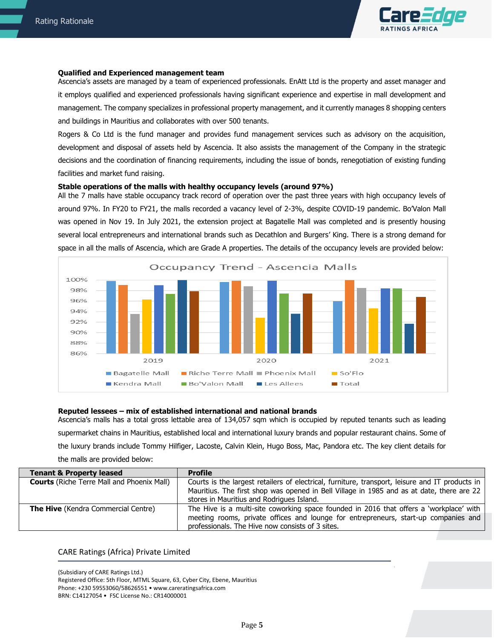

#### **Qualified and Experienced management team**

Ascencia's assets are managed by a team of experienced professionals. EnAtt Ltd is the property and asset manager and it employs qualified and experienced professionals having significant experience and expertise in mall development and management. The company specializes in professional property management, and it currently manages 8 shopping centers and buildings in Mauritius and collaborates with over 500 tenants.

Rogers & Co Ltd is the fund manager and provides fund management services such as advisory on the acquisition, development and disposal of assets held by Ascencia. It also assists the management of the Company in the strategic decisions and the coordination of financing requirements, including the issue of bonds, renegotiation of existing funding facilities and market fund raising.

#### **Stable operations of the malls with healthy occupancy levels (around 97%)**

All the 7 malls have stable occupancy track record of operation over the past three years with high occupancy levels of around 97%. In FY20 to FY21, the malls recorded a vacancy level of 2-3%, despite COVID-19 pandemic. Bo'Valon Mall was opened in Nov 19. In July 2021, the extension project at Bagatelle Mall was completed and is presently housing several local entrepreneurs and international brands such as Decathlon and Burgers' King. There is a strong demand for space in all the malls of Ascencia, which are Grade A properties. The details of the occupancy levels are provided below:



#### **Reputed lessees – mix of established international and national brands**

Ascencia's malls has a total gross lettable area of 134,057 sqm which is occupied by reputed tenants such as leading supermarket chains in Mauritius, established local and international luxury brands and popular restaurant chains. Some of the luxury brands include Tommy Hilfiger, Lacoste, Calvin Klein, Hugo Boss, Mac, Pandora etc. The key client details for the malls are provided below:

| <b>Tenant &amp; Property leased</b>               | <b>Profile</b>                                                                                  |
|---------------------------------------------------|-------------------------------------------------------------------------------------------------|
| <b>Courts</b> (Riche Terre Mall and Phoenix Mall) | Courts is the largest retailers of electrical, furniture, transport, leisure and IT products in |
|                                                   | Mauritius. The first shop was opened in Bell Village in 1985 and as at date, there are 22       |
|                                                   | stores in Mauritius and Rodrigues Island.                                                       |
| <b>The Hive</b> (Kendra Commercial Centre)        | The Hive is a multi-site coworking space founded in 2016 that offers a 'workplace' with         |
|                                                   | meeting rooms, private offices and lounge for entrepreneurs, start-up companies and             |
|                                                   | professionals. The Hive now consists of 3 sites.                                                |

# CARE Ratings (Africa) Private Limited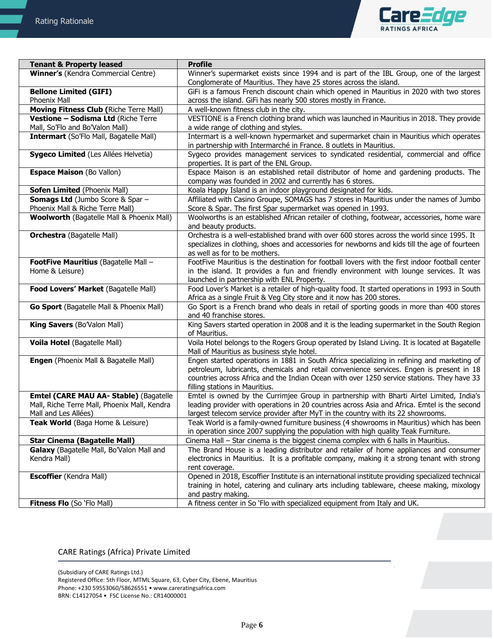

| <b>Tenant &amp; Property leased</b>                                         | <b>Profile</b>                                                                                                                                                                                                                                                                                                         |
|-----------------------------------------------------------------------------|------------------------------------------------------------------------------------------------------------------------------------------------------------------------------------------------------------------------------------------------------------------------------------------------------------------------|
| Winner's (Kendra Commercial Centre)                                         | Winner's supermarket exists since 1994 and is part of the IBL Group, one of the largest                                                                                                                                                                                                                                |
|                                                                             | Conglomerate of Mauritius. They have 25 stores across the island.                                                                                                                                                                                                                                                      |
| <b>Bellone Limited (GIFI)</b>                                               | GiFi is a famous French discount chain which opened in Mauritius in 2020 with two stores                                                                                                                                                                                                                               |
| Phoenix Mall                                                                | across the island. GiFi has nearly 500 stores mostly in France.                                                                                                                                                                                                                                                        |
| Moving Fitness Club (Riche Terre Mall)                                      | A well-known fitness club in the city.                                                                                                                                                                                                                                                                                 |
| Vestione - Sodisma Ltd (Riche Terre<br>Mall, So'Flo and Bo'Valon Mall)      | VESTIONE is a French clothing brand which was launched in Mauritius in 2018. They provide<br>a wide range of clothing and styles.                                                                                                                                                                                      |
| <b>Intermart (So'Flo Mall, Bagatelle Mall)</b>                              | Intermart is a well-known hypermarket and supermarket chain in Mauritius which operates<br>in partnership with Intermarché in France. 8 outlets in Mauritius.                                                                                                                                                          |
| Sygeco Limited (Les Allées Helvetia)                                        | Sygeco provides management services to syndicated residential, commercial and office<br>properties. It is part of the ENL Group.                                                                                                                                                                                       |
| <b>Espace Maison (Bo Vallon)</b>                                            | Espace Maison is an established retail distributor of home and gardening products. The<br>company was founded in 2002 and currently has 6 stores.                                                                                                                                                                      |
| <b>Sofen Limited (Phoenix Mall)</b>                                         | Koala Happy Island is an indoor playground designated for kids.                                                                                                                                                                                                                                                        |
| <b>Somags Ltd</b> (Jumbo Score & Spar -<br>Phoenix Mall & Riche Terre Mall) | Affiliated with Casino Groupe, SOMAGS has 7 stores in Mauritius under the names of Jumbo<br>Score & Spar. The first Spar supermarket was opened in 1993.                                                                                                                                                               |
| <b>Woolworth (Bagatelle Mall &amp; Phoenix Mall)</b>                        | Woolworths is an established African retailer of clothing, footwear, accessories, home ware<br>and beauty products.                                                                                                                                                                                                    |
| <b>Orchestra</b> (Bagatelle Mall)                                           | Orchestra is a well-established brand with over 600 stores across the world since 1995. It<br>specializes in clothing, shoes and accessories for newborns and kids till the age of fourteen<br>as well as for to be mothers.                                                                                           |
| FootFive Mauritius (Bagatelle Mall -                                        | FootFive Mauritius is the destination for football lovers with the first indoor football center                                                                                                                                                                                                                        |
| Home & Leisure)                                                             | in the island. It provides a fun and friendly environment with lounge services. It was<br>launched in partnership with ENL Property.                                                                                                                                                                                   |
| Food Lovers' Market (Bagatelle Mall)                                        | Food Lover's Market is a retailer of high-quality food. It started operations in 1993 in South<br>Africa as a single Fruit & Veg City store and it now has 200 stores.                                                                                                                                                 |
| Go Sport (Bagatelle Mall & Phoenix Mall)                                    | Go Sport is a French brand who deals in retail of sporting goods in more than 400 stores<br>and 40 franchise stores.                                                                                                                                                                                                   |
| King Savers (Bo'Valon Mall)                                                 | King Savers started operation in 2008 and it is the leading supermarket in the South Region<br>of Mauritius.                                                                                                                                                                                                           |
| Voila Hotel (Bagatelle Mall)                                                | Voila Hotel belongs to the Rogers Group operated by Island Living. It is located at Bagatelle<br>Mall of Mauritius as business style hotel.                                                                                                                                                                            |
| Engen (Phoenix Mall & Bagatelle Mall)                                       | Engen started operations in 1881 in South Africa specializing in refining and marketing of<br>petroleum, lubricants, chemicals and retail convenience services. Engen is present in 18<br>countries across Africa and the Indian Ocean with over 1250 service stations. They have 33<br>filling stations in Mauritius. |
| Emtel (CARE MAU AA- Stable) (Bagatelle                                      | Emtel is owned by the Currimjee Group in partnership with Bharti Airtel Limited, India's                                                                                                                                                                                                                               |
| Mall, Riche Terre Mall, Phoenix Mall, Kendra<br>Mall and Les Allées)        | leading provider with operations in 20 countries across Asia and Africa. Emtel is the second<br>largest telecom service provider after MyT in the country with its 22 showrooms.                                                                                                                                       |
| <b>Teak World</b> (Baga Home & Leisure)                                     | Teak World is a family-owned furniture business (4 showrooms in Mauritius) which has been<br>in operation since 2007 supplying the population with high quality Teak Furniture.                                                                                                                                        |
| <b>Star Cinema (Bagatelle Mall)</b>                                         | Cinema Hall - Star cinema is the biggest cinema complex with 6 halls in Mauritius.                                                                                                                                                                                                                                     |
| Galaxy (Bagatelle Mall, Bo'Valon Mall and                                   | The Brand House is a leading distributor and retailer of home appliances and consumer                                                                                                                                                                                                                                  |
| Kendra Mall)                                                                | electronics in Mauritius. It is a profitable company, making it a strong tenant with strong                                                                                                                                                                                                                            |
|                                                                             | rent coverage.                                                                                                                                                                                                                                                                                                         |
| <b>Escoffier</b> (Kendra Mall)                                              | Opened in 2018, Escoffier Institute is an international institute providing specialized technical<br>training in hotel, catering and culinary arts including tableware, cheese making, mixology                                                                                                                        |
|                                                                             | and pastry making.                                                                                                                                                                                                                                                                                                     |
| Fitness Flo (So 'Flo Mall)                                                  | A fitness center in So 'Flo with specialized equipment from Italy and UK.                                                                                                                                                                                                                                              |

# CARE Ratings (Africa) Private Limited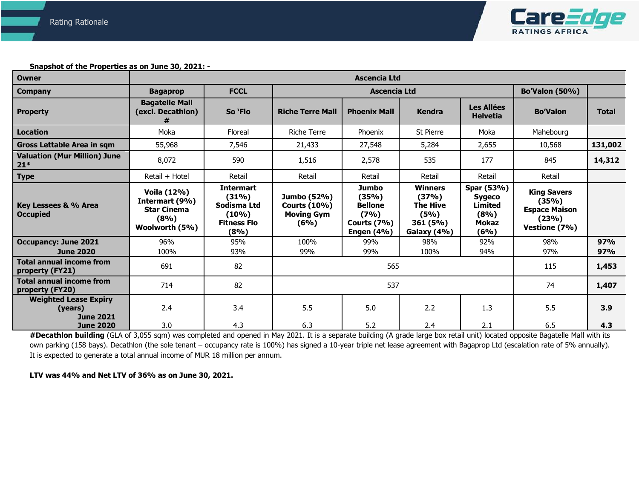

**Snapshot of the Properties as on June 30, 2021: -** 

| <b>Owner</b>                                                | Ascencia Ltd                                                                  |                                                                                    |                                                                 |                                                                                     |                                                                               |                                                                               |                                                                               |              |
|-------------------------------------------------------------|-------------------------------------------------------------------------------|------------------------------------------------------------------------------------|-----------------------------------------------------------------|-------------------------------------------------------------------------------------|-------------------------------------------------------------------------------|-------------------------------------------------------------------------------|-------------------------------------------------------------------------------|--------------|
| <b>Company</b>                                              | <b>Bagaprop</b>                                                               | <b>FCCL</b>                                                                        |                                                                 | <b>Ascencia Ltd</b>                                                                 |                                                                               |                                                                               | <b>Bo'Valon (50%)</b>                                                         |              |
| <b>Property</b>                                             | <b>Bagatelle Mall</b><br>(excl. Decathlon)<br>#                               | So 'Flo                                                                            | <b>Riche Terre Mall</b>                                         | <b>Phoenix Mall</b>                                                                 | <b>Kendra</b>                                                                 | <b>Les Allées</b><br><b>Helvetia</b>                                          | <b>Bo'Valon</b>                                                               | <b>Total</b> |
| <b>Location</b>                                             | Moka                                                                          | Floreal                                                                            | <b>Riche Terre</b>                                              | Phoenix                                                                             | St Pierre                                                                     | Moka                                                                          | Mahebourg                                                                     |              |
| <b>Gross Lettable Area in sqm</b>                           | 55,968                                                                        | 7,546                                                                              | 21,433                                                          | 27,548                                                                              | 5,284                                                                         | 2,655                                                                         | 10,568                                                                        | 131,002      |
| <b>Valuation (Mur Million) June</b><br>$21*$                | 8,072                                                                         | 590                                                                                | 1,516                                                           | 2,578                                                                               | 535                                                                           | 177                                                                           | 845                                                                           | 14,312       |
| <b>Type</b>                                                 | Retail + Hotel                                                                | Retail                                                                             | Retail                                                          | Retail                                                                              | Retail                                                                        | Retail                                                                        | Retail                                                                        |              |
| Key Lessees & % Area<br><b>Occupied</b>                     | Voila (12%)<br>Intermart (9%)<br><b>Star Cinema</b><br>(8%)<br>Woolworth (5%) | <b>Intermart</b><br>(31%)<br>Sodisma Ltd<br>$(10\%)$<br><b>Fitness Flo</b><br>(8%) | Jumbo (52%)<br><b>Courts (10%)</b><br><b>Moving Gym</b><br>(6%) | Jumbo<br>(35%)<br><b>Bellone</b><br>(7%)<br><b>Courts (7%)</b><br><b>Engen (4%)</b> | <b>Winners</b><br>(37%)<br><b>The Hive</b><br>(5%)<br>361 (5%)<br>Galaxy (4%) | Spar (53%)<br><b>Sygeco</b><br><b>Limited</b><br>(8%)<br><b>Mokaz</b><br>(6%) | <b>King Savers</b><br>(35%)<br><b>Espace Maison</b><br>(23%)<br>Vestione (7%) |              |
| <b>Occupancy: June 2021</b><br><b>June 2020</b>             | 96%<br>100%                                                                   | 95%<br>93%                                                                         | 100%<br>99%                                                     | 99%<br>99%                                                                          | 98%<br>100%                                                                   | 92%<br>94%                                                                    | 98%<br>97%                                                                    | 97%<br>97%   |
| <b>Total annual income from</b><br>property (FY21)          | 691                                                                           | 82                                                                                 | 565                                                             |                                                                                     |                                                                               |                                                                               | 115                                                                           | 1,453        |
| <b>Total annual income from</b><br>property (FY20)          | 714                                                                           | 82                                                                                 |                                                                 | 537                                                                                 |                                                                               |                                                                               | 74                                                                            | 1,407        |
| <b>Weighted Lease Expiry</b><br>(years)<br><b>June 2021</b> | 2.4                                                                           | 3.4                                                                                | 5.5                                                             | 5.0                                                                                 | 2.2                                                                           | 1.3                                                                           | 5.5                                                                           | 3.9          |
| <b>June 2020</b>                                            | 3.0                                                                           | 4.3                                                                                | 6.3                                                             | 5.2                                                                                 | 2.4                                                                           | 2.1                                                                           | 6.5                                                                           | 4.3          |

#Decathlon building (GLA of 3,055 sqm) was completed and opened in May 2021. It is a separate building (A grade large box retail unit) located opposite Bagatelle Mall with its own parking (158 bays). Decathlon (the sole tenant – occupancy rate is 100%) has signed a 10-year triple net lease agreement with Bagaprop Ltd (escalation rate of 5% annually). It is expected to generate a total annual income of MUR 18 million per annum.

**LTV was 44% and Net LTV of 36% as on June 30, 2021.**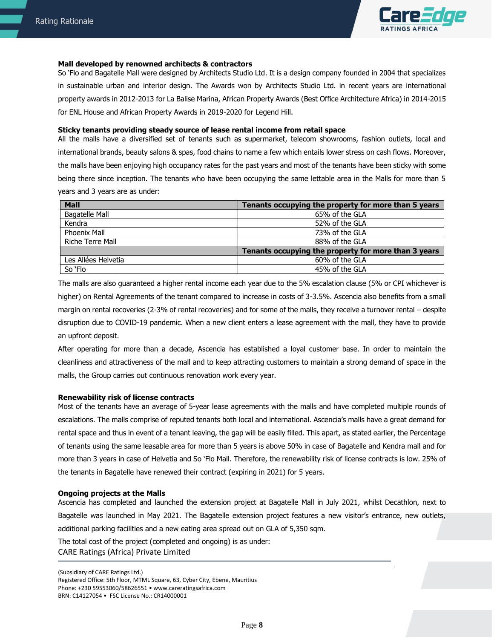

# **Mall developed by renowned architects & contractors**

So 'Flo and Bagatelle Mall were designed by Architects Studio Ltd. It is a design company founded in 2004 that specializes in sustainable urban and interior design. The Awards won by Architects Studio Ltd. in recent years are international property awards in 2012-2013 for La Balise Marina, African Property Awards (Best Office Architecture Africa) in 2014-2015 for ENL House and African Property Awards in 2019-2020 for Legend Hill.

#### **Sticky tenants providing steady source of lease rental income from retail space**

All the malls have a diversified set of tenants such as supermarket, telecom showrooms, fashion outlets, local and international brands, beauty salons & spas, food chains to name a few which entails lower stress on cash flows. Moreover, the malls have been enjoying high occupancy rates for the past years and most of the tenants have been sticky with some being there since inception. The tenants who have been occupying the same lettable area in the Malls for more than 5 years and 3 years are as under:

| <b>Mall</b>           | Tenants occupying the property for more than 5 years |
|-----------------------|------------------------------------------------------|
| <b>Bagatelle Mall</b> | 65% of the GLA                                       |
| Kendra                | 52% of the GLA                                       |
| Phoenix Mall          | 73% of the GLA                                       |
| Riche Terre Mall      | 88% of the GLA                                       |
|                       | Tenants occupying the property for more than 3 years |
| Les Allées Helvetia   | 60% of the GLA                                       |
| So 'Flo               | 45% of the GLA                                       |

The malls are also guaranteed a higher rental income each year due to the 5% escalation clause (5% or CPI whichever is higher) on Rental Agreements of the tenant compared to increase in costs of 3-3.5%. Ascencia also benefits from a small margin on rental recoveries (2-3% of rental recoveries) and for some of the malls, they receive a turnover rental – despite disruption due to COVID-19 pandemic. When a new client enters a lease agreement with the mall, they have to provide an upfront deposit.

After operating for more than a decade, Ascencia has established a loyal customer base. In order to maintain the cleanliness and attractiveness of the mall and to keep attracting customers to maintain a strong demand of space in the malls, the Group carries out continuous renovation work every year.

#### **Renewability risk of license contracts**

Most of the tenants have an average of 5-year lease agreements with the malls and have completed multiple rounds of escalations. The malls comprise of reputed tenants both local and international. Ascencia's malls have a great demand for rental space and thus in event of a tenant leaving, the gap will be easily filled. This apart, as stated earlier, the Percentage of tenants using the same leasable area for more than 5 years is above 50% in case of Bagatelle and Kendra mall and for more than 3 years in case of Helvetia and So 'Flo Mall. Therefore, the renewability risk of license contracts is low. 25% of the tenants in Bagatelle have renewed their contract (expiring in 2021) for 5 years.

#### **Ongoing projects at the Malls**

Ascencia has completed and launched the extension project at Bagatelle Mall in July 2021, whilst Decathlon, next to Bagatelle was launched in May 2021. The Bagatelle extension project features a new visitor's entrance, new outlets, additional parking facilities and a new eating area spread out on GLA of 5,350 sqm.

CARE Ratings (Africa) Private Limited The total cost of the project (completed and ongoing) is as under: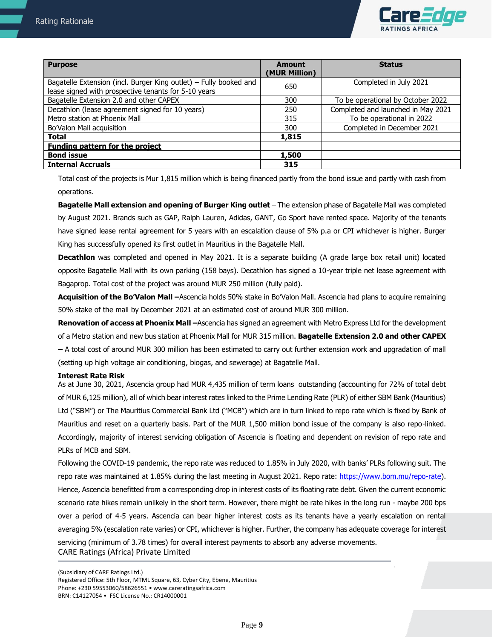

| <b>Purpose</b>                                                                                                            | Amount<br>(MUR Million) | <b>Status</b>                      |
|---------------------------------------------------------------------------------------------------------------------------|-------------------------|------------------------------------|
| Bagatelle Extension (incl. Burger King outlet) - Fully booked and<br>lease signed with prospective tenants for 5-10 years | 650                     | Completed in July 2021             |
| Bagatelle Extension 2.0 and other CAPEX                                                                                   | 300                     | To be operational by October 2022  |
| Decathlon (lease agreement signed for 10 years)                                                                           | 250                     | Completed and launched in May 2021 |
| Metro station at Phoenix Mall                                                                                             | 315                     | To be operational in 2022          |
| Bo'Valon Mall acquisition                                                                                                 | 300                     | Completed in December 2021         |
| Total                                                                                                                     | 1,815                   |                                    |
| <b>Funding pattern for the project</b>                                                                                    |                         |                                    |
| <b>Bond issue</b>                                                                                                         | 1,500                   |                                    |
| <b>Internal Accruals</b>                                                                                                  | 315                     |                                    |

Total cost of the projects is Mur 1,815 million which is being financed partly from the bond issue and partly with cash from operations.

**Bagatelle Mall extension and opening of Burger King outlet** – The extension phase of Bagatelle Mall was completed by August 2021. Brands such as GAP, Ralph Lauren, Adidas, GANT, Go Sport have rented space. Majority of the tenants have signed lease rental agreement for 5 years with an escalation clause of 5% p.a or CPI whichever is higher. Burger King has successfully opened its first outlet in Mauritius in the Bagatelle Mall.

**Decathlon** was completed and opened in May 2021. It is a separate building (A grade large box retail unit) located opposite Bagatelle Mall with its own parking (158 bays). Decathlon has signed a 10-year triple net lease agreement with Bagaprop. Total cost of the project was around MUR 250 million (fully paid).

**Acquisition of the Bo'Valon Mall –**Ascencia holds 50% stake in Bo'Valon Mall. Ascencia had plans to acquire remaining 50% stake of the mall by December 2021 at an estimated cost of around MUR 300 million.

**Renovation of access at Phoenix Mall –**Ascencia has signed an agreement with Metro Express Ltd for the development of a Metro station and new bus station at Phoenix Mall for MUR 315 million. **Bagatelle Extension 2.0 and other CAPEX –** A total cost of around MUR 300 million has been estimated to carry out further extension work and upgradation of mall (setting up high voltage air conditioning, biogas, and sewerage) at Bagatelle Mall.

#### **Interest Rate Risk**

As at June 30, 2021, Ascencia group had MUR 4,435 million of term loans outstanding (accounting for 72% of total debt of MUR 6,125 million), all of which bear interest rates linked to the Prime Lending Rate (PLR) of either SBM Bank (Mauritius) Ltd ("SBM") or The Mauritius Commercial Bank Ltd ("MCB") which are in turn linked to repo rate which is fixed by Bank of Mauritius and reset on a quarterly basis. Part of the MUR 1,500 million bond issue of the company is also repo-linked. Accordingly, majority of interest servicing obligation of Ascencia is floating and dependent on revision of repo rate and PLRs of MCB and SBM.

CARE Ratings (Africa) Private Limited Following the COVID-19 pandemic, the repo rate was reduced to 1.85% in July 2020, with banks' PLRs following suit. The repo rate was maintained at 1.85% during the last meeting in August 2021. Repo rate: [https://www.bom.mu/repo-rate\)](https://www.bom.mu/repo-rate). Hence, Ascencia benefitted from a corresponding drop in interest costs of its floating rate debt. Given the current economic scenario rate hikes remain unlikely in the short term. However, there might be rate hikes in the long run - maybe 200 bps over a period of 4-5 years. Ascencia can bear higher interest costs as its tenants have a yearly escalation on rental averaging 5% (escalation rate varies) or CPI, whichever is higher. Further, the company has adequate coverage for interest servicing (minimum of 3.78 times) for overall interest payments to absorb any adverse movements.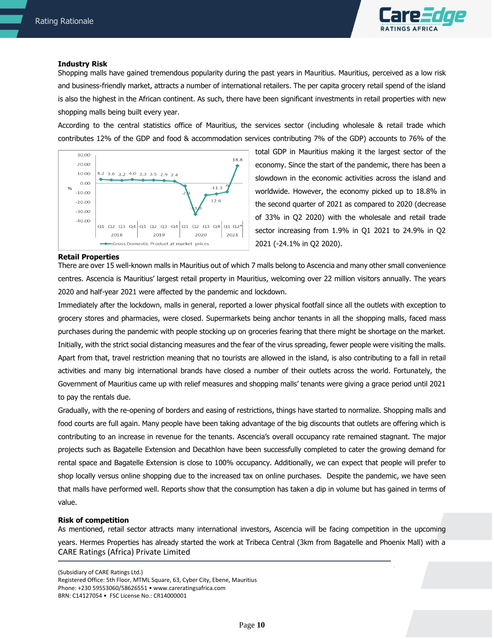

#### **Industry Risk**

Shopping malls have gained tremendous popularity during the past years in Mauritius. Mauritius, perceived as a low risk and business-friendly market, attracts a number of international retailers. The per capita grocery retail spend of the island is also the highest in the African continent. As such, there have been significant investments in retail properties with new shopping malls being built every year.

According to the central statistics office of Mauritius, the services sector (including wholesale & retail trade which contributes 12% of the GDP and food & accommodation services contributing 7% of the GDP) accounts to 76% of the



total GDP in Mauritius making it the largest sector of the economy. Since the start of the pandemic, there has been a slowdown in the economic activities across the island and worldwide. However, the economy picked up to 18.8% in the second quarter of 2021 as compared to 2020 (decrease of 33% in Q2 2020) with the wholesale and retail trade sector increasing from 1.9% in Q1 2021 to 24.9% in Q2 2021 (-24.1% in Q2 2020).

#### **Retail Properties**

There are over 15 well-known malls in Mauritius out of which 7 malls belong to Ascencia and many other small convenience centres. Ascencia is Mauritius' largest retail property in Mauritius, welcoming over 22 million visitors annually. The years 2020 and half-year 2021 were affected by the pandemic and lockdown.

Immediately after the lockdown, malls in general, reported a lower physical footfall since all the outlets with exception to grocery stores and pharmacies, were closed. Supermarkets being anchor tenants in all the shopping malls, faced mass purchases during the pandemic with people stocking up on groceries fearing that there might be shortage on the market. Initially, with the strict social distancing measures and the fear of the virus spreading, fewer people were visiting the malls. Apart from that, travel restriction meaning that no tourists are allowed in the island, is also contributing to a fall in retail activities and many big international brands have closed a number of their outlets across the world. Fortunately, the Government of Mauritius came up with relief measures and shopping malls' tenants were giving a grace period until 2021 to pay the rentals due.

Gradually, with the re-opening of borders and easing of restrictions, things have started to normalize. Shopping malls and food courts are full again. Many people have been taking advantage of the big discounts that outlets are offering which is contributing to an increase in revenue for the tenants. Ascencia's overall occupancy rate remained stagnant. The major projects such as Bagatelle Extension and Decathlon have been successfully completed to cater the growing demand for rental space and Bagatelle Extension is close to 100% occupancy. Additionally, we can expect that people will prefer to shop locally versus online shopping due to the increased tax on online purchases. Despite the pandemic, we have seen that malls have performed well. Reports show that the consumption has taken a dip in volume but has gained in terms of value.

#### **Risk of competition**

CARE Ratings (Africa) Private Limited As mentioned, retail sector attracts many international investors, Ascencia will be facing competition in the upcoming years. Hermes Properties has already started the work at Tribeca Central (3km from Bagatelle and Phoenix Mall) with a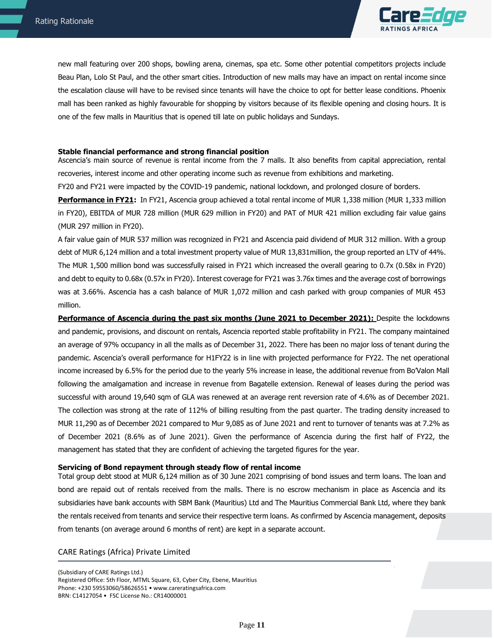

 new mall featuring over 200 shops, bowling arena, cinemas, spa etc. Some other potential competitors projects include Beau Plan, Lolo St Paul, and the other smart cities. Introduction of new malls may have an impact on rental income since the escalation clause will have to be revised since tenants will have the choice to opt for better lease conditions. Phoenix mall has been ranked as highly favourable for shopping by visitors because of its flexible opening and closing hours. It is one of the few malls in Mauritius that is opened till late on public holidays and Sundays.

#### **Stable financial performance and strong financial position**

Ascencia's main source of revenue is rental income from the 7 malls. It also benefits from capital appreciation, rental recoveries, interest income and other operating income such as revenue from exhibitions and marketing.

FY20 and FY21 were impacted by the COVID-19 pandemic, national lockdown, and prolonged closure of borders.

**Performance in FY21:** In FY21, Ascencia group achieved a total rental income of MUR 1,338 million (MUR 1,333 million in FY20), EBITDA of MUR 728 million (MUR 629 million in FY20) and PAT of MUR 421 million excluding fair value gains (MUR 297 million in FY20).

A fair value gain of MUR 537 million was recognized in FY21 and Ascencia paid dividend of MUR 312 million. With a group debt of MUR 6,124 million and a total investment property value of MUR 13,831million, the group reported an LTV of 44%. The MUR 1,500 million bond was successfully raised in FY21 which increased the overall gearing to 0.7x (0.58x in FY20) and debt to equity to 0.68x (0.57x in FY20). Interest coverage for FY21 was 3.76x times and the average cost of borrowings was at 3.66%. Ascencia has a cash balance of MUR 1,072 million and cash parked with group companies of MUR 453 million.

**Performance of Ascencia during the past six months (June 2021 to December 2021):** Despite the lockdowns and pandemic, provisions, and discount on rentals, Ascencia reported stable profitability in FY21. The company maintained an average of 97% occupancy in all the malls as of December 31, 2022. There has been no major loss of tenant during the pandemic. Ascencia's overall performance for H1FY22 is in line with projected performance for FY22. The net operational income increased by 6.5% for the period due to the yearly 5% increase in lease, the additional revenue from Bo'Valon Mall following the amalgamation and increase in revenue from Bagatelle extension. Renewal of leases during the period was successful with around 19,640 sqm of GLA was renewed at an average rent reversion rate of 4.6% as of December 2021. The collection was strong at the rate of 112% of billing resulting from the past quarter. The trading density increased to MUR 11,290 as of December 2021 compared to Mur 9,085 as of June 2021 and rent to turnover of tenants was at 7.2% as of December 2021 (8.6% as of June 2021). Given the performance of Ascencia during the first half of FY22, the management has stated that they are confident of achieving the targeted figures for the year.

#### **Servicing of Bond repayment through steady flow of rental income**

Total group debt stood at MUR 6,124 million as of 30 June 2021 comprising of bond issues and term loans. The loan and bond are repaid out of rentals received from the malls. There is no escrow mechanism in place as Ascencia and its subsidiaries have bank accounts with SBM Bank (Mauritius) Ltd and The Mauritius Commercial Bank Ltd, where they bank the rentals received from tenants and service their respective term loans. As confirmed by Ascencia management, deposits from tenants (on average around 6 months of rent) are kept in a separate account.

#### CARE Ratings (Africa) Private Limited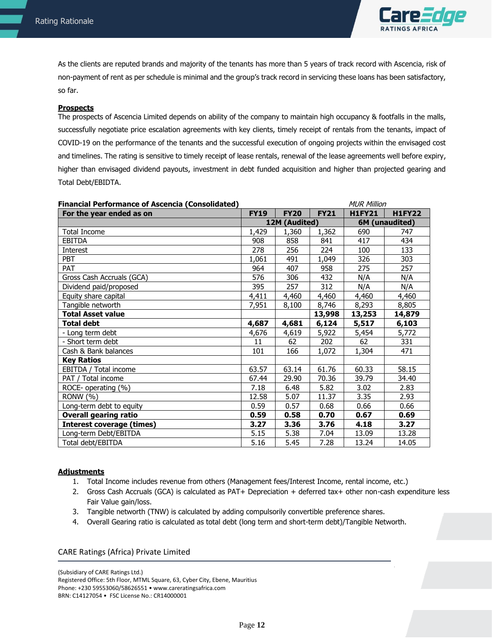

 As the clients are reputed brands and majority of the tenants has more than 5 years of track record with Ascencia, risk of non-payment of rent as per schedule is minimal and the group's track record in servicing these loans has been satisfactory, so far.

### **Prospects**

The prospects of Ascencia Limited depends on ability of the company to maintain high occupancy & footfalls in the malls, successfully negotiate price escalation agreements with key clients, timely receipt of rentals from the tenants, impact of COVID-19 on the performance of the tenants and the successful execution of ongoing projects within the envisaged cost and timelines. The rating is sensitive to timely receipt of lease rentals, renewal of the lease agreements well before expiry, higher than envisaged dividend payouts, investment in debt funded acquisition and higher than projected gearing and Total Debt/EBIDTA.

| <b>Financial Performance of Ascencia (Consolidated)</b> |             |               |             | <b>MUR Million</b> |                |
|---------------------------------------------------------|-------------|---------------|-------------|--------------------|----------------|
| For the year ended as on                                | <b>FY19</b> | <b>FY20</b>   | <b>FY21</b> | <b>H1FY21</b>      | <b>H1FY22</b>  |
|                                                         |             | 12M (Audited) |             |                    | 6M (unaudited) |
| <b>Total Income</b>                                     | 1,429       | 1,360         | 1,362       | 690                | 747            |
| <b>EBITDA</b>                                           | 908         | 858           | 841         | 417                | 434            |
| <b>Interest</b>                                         | 278         | 256           | 224         | 100                | 133            |
| PBT                                                     | 1,061       | 491           | 1,049       | 326                | 303            |
| PAT                                                     | 964         | 407           | 958         | 275                | 257            |
| Gross Cash Accruals (GCA)                               | 576         | 306           | 432         | N/A                | N/A            |
| Dividend paid/proposed                                  | 395         | 257           | 312         | N/A                | N/A            |
| Equity share capital                                    | 4,411       | 4,460         | 4,460       | 4,460              | 4,460          |
| Tangible networth                                       | 7,951       | 8,100         | 8,746       | 8,293              | 8,805          |
| <b>Total Asset value</b>                                |             |               | 13,998      | 13,253             | 14,879         |
| <b>Total debt</b>                                       | 4,687       | 4,681         | 6,124       | 5,517              | 6,103          |
| - Long term debt                                        | 4,676       | 4,619         | 5,922       | 5,454              | 5,772          |
| - Short term debt                                       | 11          | 62            | 202         | 62                 | 331            |
| Cash & Bank balances                                    | 101         | 166           | 1,072       | 1,304              | 471            |
| <b>Key Ratios</b>                                       |             |               |             |                    |                |
| EBITDA / Total income                                   | 63.57       | 63.14         | 61.76       | 60.33              | 58.15          |
| PAT / Total income                                      | 67.44       | 29.90         | 70.36       | 39.79              | 34.40          |
| ROCE- operating (%)                                     | 7.18        | 6.48          | 5.82        | 3.02               | 2.83           |
| <b>RONW (%)</b>                                         | 12.58       | 5.07          | 11.37       | 3.35               | 2.93           |
| Long-term debt to equity                                | 0.59        | 0.57          | 0.68        | 0.66               | 0.66           |
| <b>Overall gearing ratio</b>                            | 0.59        | 0.58          | 0.70        | 0.67               | 0.69           |
| <b>Interest coverage (times)</b>                        | 3.27        | 3.36          | 3.76        | 4.18               | 3.27           |
| Long-term Debt/EBITDA                                   | 5.15        | 5.38          | 7.04        | 13.09              | 13.28          |
| Total debt/EBITDA                                       | 5.16        | 5.45          | 7.28        | 13.24              | 14.05          |

# **Adjustments**

- 1. Total Income includes revenue from others (Management fees/Interest Income, rental income, etc.)
- 2. Gross Cash Accruals (GCA) is calculated as PAT+ Depreciation + deferred tax+ other non-cash expenditure less Fair Value gain/loss.
- 3. Tangible networth (TNW) is calculated by adding compulsorily convertible preference shares.
- 4. Overall Gearing ratio is calculated as total debt (long term and short-term debt)/Tangible Networth.

# CARE Ratings (Africa) Private Limited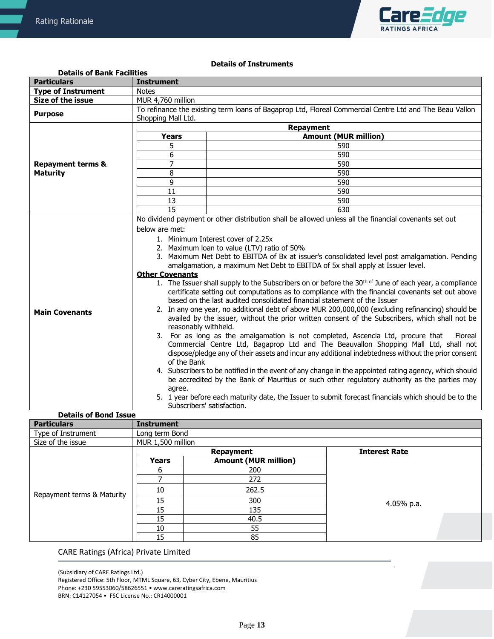

# **Details of Instruments**

| <b>Details of Bank Facilities</b> |                                                                                                         |                                                                                                                                                                              |  |  |  |  |  |
|-----------------------------------|---------------------------------------------------------------------------------------------------------|------------------------------------------------------------------------------------------------------------------------------------------------------------------------------|--|--|--|--|--|
| <b>Particulars</b>                | <b>Instrument</b>                                                                                       |                                                                                                                                                                              |  |  |  |  |  |
| <b>Type of Instrument</b>         | <b>Notes</b>                                                                                            |                                                                                                                                                                              |  |  |  |  |  |
| Size of the issue                 | MUR 4,760 million                                                                                       |                                                                                                                                                                              |  |  |  |  |  |
| <b>Purpose</b>                    | Shopping Mall Ltd.                                                                                      | To refinance the existing term loans of Bagaprop Ltd, Floreal Commercial Centre Ltd and The Beau Vallon                                                                      |  |  |  |  |  |
|                                   |                                                                                                         | <b>Repayment</b>                                                                                                                                                             |  |  |  |  |  |
|                                   | <b>Years</b>                                                                                            | <b>Amount (MUR million)</b>                                                                                                                                                  |  |  |  |  |  |
|                                   | 5                                                                                                       | 590                                                                                                                                                                          |  |  |  |  |  |
|                                   | 6                                                                                                       | 590                                                                                                                                                                          |  |  |  |  |  |
| <b>Repayment terms &amp;</b>      | $\overline{7}$                                                                                          | 590                                                                                                                                                                          |  |  |  |  |  |
| <b>Maturity</b>                   | 8                                                                                                       | 590                                                                                                                                                                          |  |  |  |  |  |
|                                   | 9                                                                                                       | 590                                                                                                                                                                          |  |  |  |  |  |
|                                   | 11                                                                                                      | 590                                                                                                                                                                          |  |  |  |  |  |
|                                   | 13                                                                                                      | 590                                                                                                                                                                          |  |  |  |  |  |
|                                   | 15                                                                                                      | 630                                                                                                                                                                          |  |  |  |  |  |
|                                   |                                                                                                         | No dividend payment or other distribution shall be allowed unless all the financial covenants set out                                                                        |  |  |  |  |  |
|                                   | below are met:                                                                                          |                                                                                                                                                                              |  |  |  |  |  |
|                                   | 1. Minimum Interest cover of 2.25x                                                                      |                                                                                                                                                                              |  |  |  |  |  |
|                                   | 2. Maximum loan to value (LTV) ratio of 50%                                                             |                                                                                                                                                                              |  |  |  |  |  |
|                                   | 3. Maximum Net Debt to EBITDA of Bx at issuer's consolidated level post amalgamation. Pending           |                                                                                                                                                                              |  |  |  |  |  |
|                                   | amalgamation, a maximum Net Debt to EBITDA of 5x shall apply at Issuer level.<br><b>Other Covenants</b> |                                                                                                                                                                              |  |  |  |  |  |
|                                   |                                                                                                         | 1. The Issuer shall supply to the Subscribers on or before the 30 <sup>th of</sup> June of each year, a compliance                                                           |  |  |  |  |  |
|                                   |                                                                                                         | certificate setting out computations as to compliance with the financial covenants set out above<br>based on the last audited consolidated financial statement of the Issuer |  |  |  |  |  |
|                                   |                                                                                                         | 2. In any one year, no additional debt of above MUR 200,000,000 (excluding refinancing) should be                                                                            |  |  |  |  |  |
| <b>Main Covenants</b>             | availed by the issuer, without the prior written consent of the Subscribers, which shall not be         |                                                                                                                                                                              |  |  |  |  |  |
|                                   | reasonably withheld.                                                                                    |                                                                                                                                                                              |  |  |  |  |  |
|                                   |                                                                                                         | 3. For as long as the amalgamation is not completed, Ascencia Ltd, procure that<br>Floreal                                                                                   |  |  |  |  |  |
|                                   |                                                                                                         | Commercial Centre Ltd, Bagaprop Ltd and The Beauvallon Shopping Mall Ltd, shall not                                                                                          |  |  |  |  |  |
|                                   |                                                                                                         | dispose/pledge any of their assets and incur any additional indebtedness without the prior consent                                                                           |  |  |  |  |  |
|                                   | of the Bank                                                                                             |                                                                                                                                                                              |  |  |  |  |  |
|                                   |                                                                                                         | 4. Subscribers to be notified in the event of any change in the appointed rating agency, which should                                                                        |  |  |  |  |  |
|                                   |                                                                                                         | be accredited by the Bank of Mauritius or such other regulatory authority as the parties may                                                                                 |  |  |  |  |  |
|                                   | agree.                                                                                                  |                                                                                                                                                                              |  |  |  |  |  |
|                                   |                                                                                                         | 5. 1 year before each maturity date, the Issuer to submit forecast financials which should be to the                                                                         |  |  |  |  |  |
|                                   | Subscribers' satisfaction.                                                                              |                                                                                                                                                                              |  |  |  |  |  |

#### **Details of Bond Issue Particulars Instrument** Type of Instrument Long term Bond Size of the issue MUR 1,500 million Repayment terms & Maturity **Repayment Interest Rate Years Amount (MUR million)** 6 200 4.05% p.a. 7 272 10 262.5 15 300 15 135<br>15 135 40.5 10 55 15 85

# CARE Ratings (Africa) Private Limited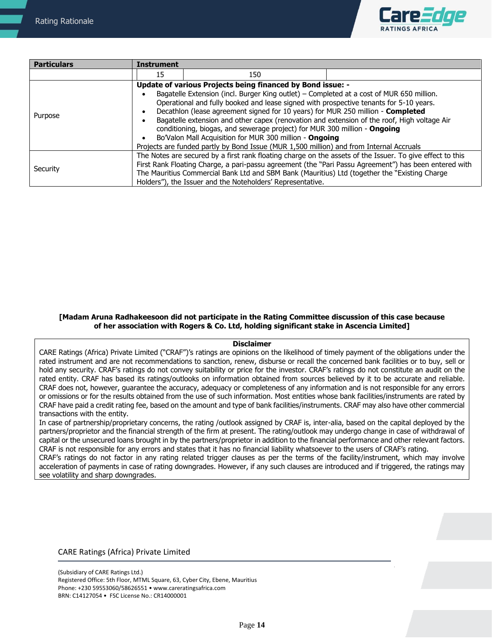

| <b>Particulars</b> | <b>Instrument</b>                                                                                                                                                                                                                                                                                                                                                                                                                                                                                                                                                          |                                                                                                                                                                                                                                                                                                       |                                                                                                       |  |  |  |
|--------------------|----------------------------------------------------------------------------------------------------------------------------------------------------------------------------------------------------------------------------------------------------------------------------------------------------------------------------------------------------------------------------------------------------------------------------------------------------------------------------------------------------------------------------------------------------------------------------|-------------------------------------------------------------------------------------------------------------------------------------------------------------------------------------------------------------------------------------------------------------------------------------------------------|-------------------------------------------------------------------------------------------------------|--|--|--|
|                    | 15                                                                                                                                                                                                                                                                                                                                                                                                                                                                                                                                                                         | 150                                                                                                                                                                                                                                                                                                   |                                                                                                       |  |  |  |
| Purpose            | Update of various Projects being financed by Bond issue: -<br>Bagatelle Extension (incl. Burger King outlet) - Completed at a cost of MUR 650 million.<br>Operational and fully booked and lease signed with prospective tenants for 5-10 years.<br>Decathlon (lease agreement signed for 10 years) for MUR 250 million - Completed<br>Bagatelle extension and other capex (renovation and extension of the roof, High voltage Air<br>conditioning, biogas, and sewerage project) for MUR 300 million - Ongoing<br>Bo'Valon Mall Acquisition for MUR 300 million - Ongoing |                                                                                                                                                                                                                                                                                                       |                                                                                                       |  |  |  |
| Security           |                                                                                                                                                                                                                                                                                                                                                                                                                                                                                                                                                                            | Projects are funded partly by Bond Issue (MUR 1,500 million) and from Internal Accruals<br>The Notes are secured by a first rank floating charge on the assets of the Issuer. To give effect to this<br>The Mauritius Commercial Bank Ltd and SBM Bank (Mauritius) Ltd (together the "Existing Charge | First Rank Floating Charge, a pari-passu agreement (the "Pari Passu Agreement") has been entered with |  |  |  |
|                    |                                                                                                                                                                                                                                                                                                                                                                                                                                                                                                                                                                            | Holders"), the Issuer and the Noteholders' Representative.                                                                                                                                                                                                                                            |                                                                                                       |  |  |  |

# **[Madam Aruna Radhakeesoon did not participate in the Rating Committee discussion of this case because of her association with Rogers & Co. Ltd, holding significant stake in Ascencia Limited]**

# **Disclaimer**

CARE Ratings (Africa) Private Limited ("CRAF")'s ratings are opinions on the likelihood of timely payment of the obligations under the rated instrument and are not recommendations to sanction, renew, disburse or recall the concerned bank facilities or to buy, sell or hold any security. CRAF's ratings do not convey suitability or price for the investor. CRAF's ratings do not constitute an audit on the rated entity. CRAF has based its ratings/outlooks on information obtained from sources believed by it to be accurate and reliable. CRAF does not, however, guarantee the accuracy, adequacy or completeness of any information and is not responsible for any errors or omissions or for the results obtained from the use of such information. Most entities whose bank facilities/instruments are rated by CRAF have paid a credit rating fee, based on the amount and type of bank facilities/instruments. CRAF may also have other commercial transactions with the entity.

In case of partnership/proprietary concerns, the rating /outlook assigned by CRAF is, inter-alia, based on the capital deployed by the partners/proprietor and the financial strength of the firm at present. The rating/outlook may undergo change in case of withdrawal of capital or the unsecured loans brought in by the partners/proprietor in addition to the financial performance and other relevant factors. CRAF is not responsible for any errors and states that it has no financial liability whatsoever to the users of CRAF's rating.

CRAF's ratings do not factor in any rating related trigger clauses as per the terms of the facility/instrument, which may involve acceleration of payments in case of rating downgrades. However, if any such clauses are introduced and if triggered, the ratings may see volatility and sharp downgrades.

# CARE Ratings (Africa) Private Limited